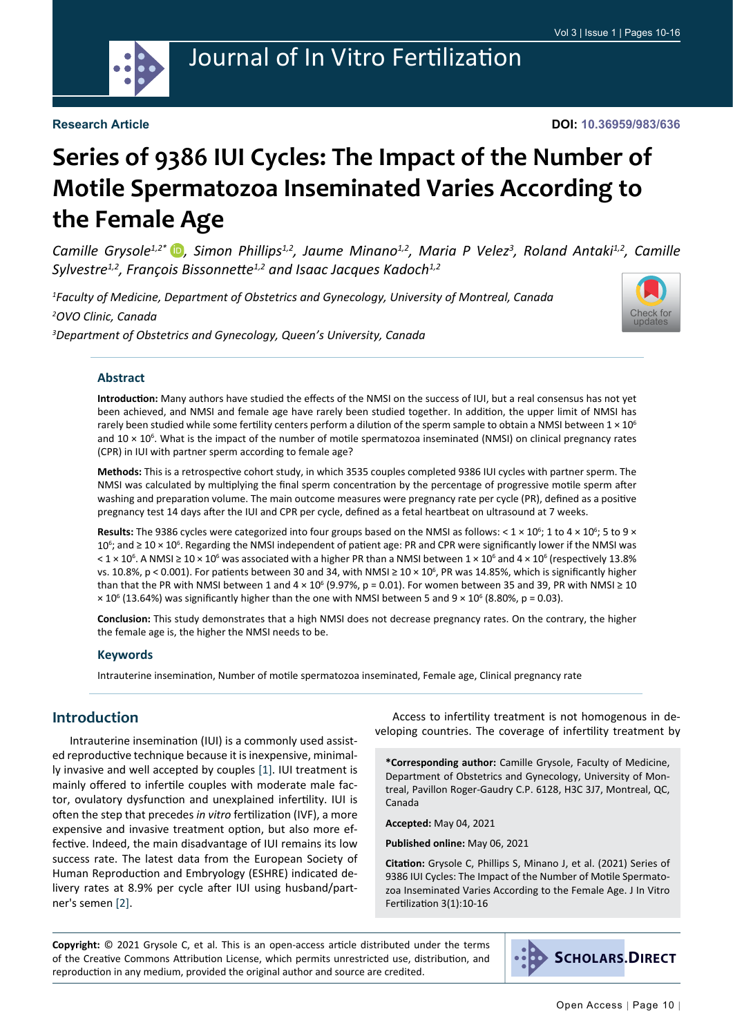

**DOI: 10.36959/983/636**

# **Series of 9386 IUI Cycles: The Impact of the Number of Motile Spermatozoa Inseminated Varies According to the Female Age**

Camille Grysole<sup>1,2\*</sup> D, Simon Phillips<sup>1,2</sup>, Jaume Minano<sup>1,2</sup>, Maria P Velez<sup>3</sup>, Roland Antaki<sup>1,2</sup>, Camille *Sylvestre1,2, François Bissonnette1,2 and Isaac Jacques Kadoch1,2*

*1 Faculty of Medicine, Department of Obstetrics and Gynecology, University of Montreal, Canada 2 OVO Clinic, Canada 3 Department of Obstetrics and Gynecology, Queen's University, Canada*



#### **Abstract**

**Introduction:** Many authors have studied the effects of the NMSI on the success of IUI, but a real consensus has not yet been achieved, and NMSI and female age have rarely been studied together. In addition, the upper limit of NMSI has rarely been studied while some fertility centers perform a dilution of the sperm sample to obtain a NMSI between  $1 \times 10^6$ and 10 × 10<sup>6</sup>. What is the impact of the number of motile spermatozoa inseminated (NMSI) on clinical pregnancy rates (CPR) in IUI with partner sperm according to female age?

**Methods:** This is a retrospective cohort study, in which 3535 couples completed 9386 IUI cycles with partner sperm. The NMSI was calculated by multiplying the final sperm concentration by the percentage of progressive motile sperm after washing and preparation volume. The main outcome measures were pregnancy rate per cycle (PR), defined as a positive pregnancy test 14 days after the IUI and CPR per cycle, defined as a fetal heartbeat on ultrasound at 7 weeks.

Results: The 9386 cycles were categorized into four groups based on the NMSI as follows: < 1 × 10<sup>6</sup>; 1 to 4 × 10<sup>6</sup>; 5 to 9 × 10<sup>6</sup>; and ≥ 10 × 10<sup>6</sup>. Regarding the NMSI independent of patient age: PR and CPR were significantly lower if the NMSI was < 1 × 10<sup>6</sup>. A NMSI ≥ 10 × 10<sup>6</sup> was associated with a higher PR than a NMSI between 1 × 10<sup>6</sup> and 4 × 10<sup>6</sup> (respectively 13.8% vs. 10.8%, p < 0.001). For patients between 30 and 34, with NMSI ≥ 10 × 10<sup>6</sup>, PR was 14.85%, which is significantly higher than that the PR with NMSI between 1 and 4 × 10 $^6$  (9.97%, p = 0.01). For women between 35 and 39, PR with NMSI ≥ 10  $\times$  10<sup>6</sup> (13.64%) was significantly higher than the one with NMSI between 5 and 9  $\times$  10<sup>6</sup> (8.80%, p = 0.03).

**Conclusion:** This study demonstrates that a high NMSI does not decrease pregnancy rates. On the contrary, the higher the female age is, the higher the NMSI needs to be.

#### **Keywords**

Intrauterine insemination, Number of motile spermatozoa inseminated, Female age, Clinical pregnancy rate

#### **Introduction**

Intrauterine insemination (IUI) is a commonly used assisted reproductive technique because it is inexpensive, minimally invasive and well accepted by couples [\[1](#page-5-0)]. IUI treatment is mainly offered to infertile couples with moderate male factor, ovulatory dysfunction and unexplained infertility. IUI is often the step that precedes *in vitro* fertilization (IVF), a more expensive and invasive treatment option, but also more effective. Indeed, the main disadvantage of IUI remains its low success rate. The latest data from the European Society of Human Reproduction and Embryology (ESHRE) indicated delivery rates at 8.9% per cycle after IUI using husband/partner's semen [\[2](#page-5-1)].

Access to infertility treatment is not homogenous in developing countries. The coverage of infertility treatment by

**\*Corresponding author:** Camille Grysole, Faculty of Medicine, Department of Obstetrics and Gynecology, University of Montreal, Pavillon Roger-Gaudry C.P. 6128, H3C 3J7, Montreal, QC, Canada

**Accepted:** May 04, 2021

**Published online:** May 06, 2021

**Citation:** Grysole C, Phillips S, Minano J, et al. (2021) Series of 9386 IUI Cycles: The Impact of the Number of Motile Spermatozoa Inseminated Varies According to the Female Age. J In Vitro Fertilization 3(1):10-16

**Copyright:** © 2021 Grysole C, et al. This is an open-access article distributed under the terms of the Creative Commons Attribution License, which permits unrestricted use, distribution, and reproduction in any medium, provided the original author and source are credited.

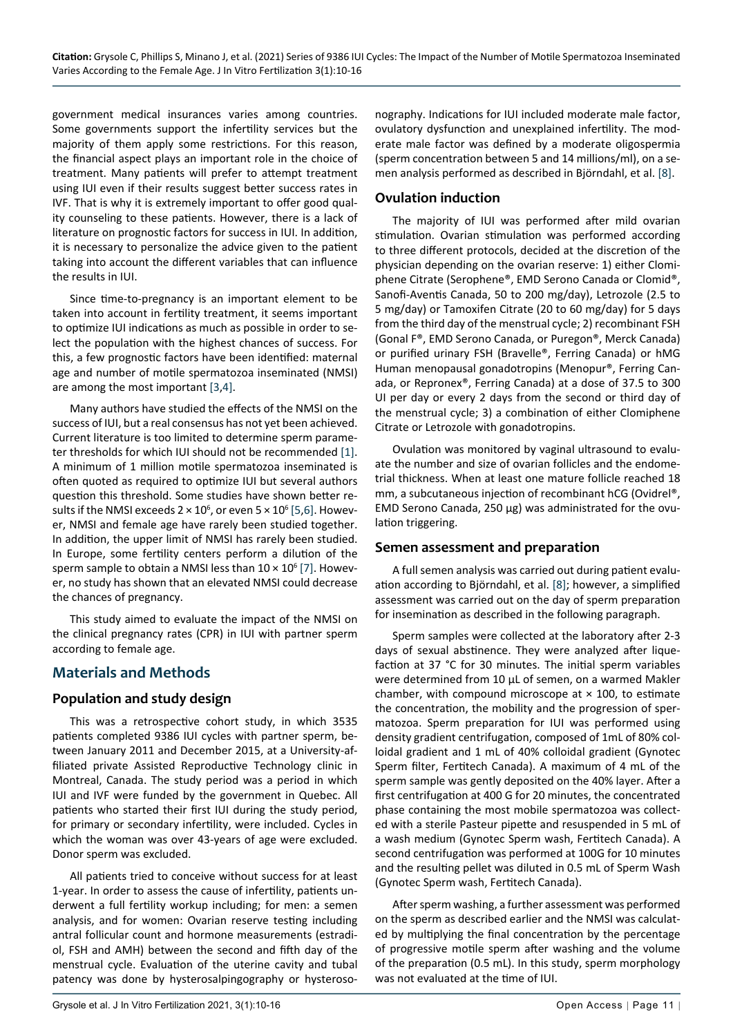government medical insurances varies among countries. Some governments support the infertility services but the majority of them apply some restrictions. For this reason, the financial aspect plays an important role in the choice of treatment. Many patients will prefer to attempt treatment using IUI even if their results suggest better success rates in IVF. That is why it is extremely important to offer good quality counseling to these patients. However, there is a lack of literature on prognostic factors for success in IUI. In addition, it is necessary to personalize the advice given to the patient taking into account the different variables that can influence the results in IUI.

Since time-to-pregnancy is an important element to be taken into account in fertility treatment, it seems important to optimize IUI indications as much as possible in order to select the population with the highest chances of success. For this, a few prognostic factors have been identified: maternal age and number of motile spermatozoa inseminated (NMSI) are among the most important [\[3](#page-6-1),[4\]](#page-6-2).

Many authors have studied the effects of the NMSI on the success of IUI, but a real consensus has not yet been achieved. Current literature is too limited to determine sperm parameter thresholds for which IUI should not be recommended [[1\]](#page-5-0). A minimum of 1 million motile spermatozoa inseminated is often quoted as required to optimize IUI but several authors question this threshold. Some studies have shown better results if the NMSI exceeds 2  $\times$  10 $^{\rm 6}$ , or even 5  $\times$  10 $^{\rm 6}$  [\[5](#page-6-3),[6\]](#page-6-4). However, NMSI and female age have rarely been studied together. In addition, the upper limit of NMSI has rarely been studied. In Europe, some fertility centers perform a dilution of the sperm sample to obtain a NMSI less than  $10 \times 10^6$  [[7\]](#page-6-5). However, no study has shown that an elevated NMSI could decrease the chances of pregnancy.

This study aimed to evaluate the impact of the NMSI on the clinical pregnancy rates (CPR) in IUI with partner sperm according to female age.

## **Materials and Methods**

#### **Population and study design**

This was a retrospective cohort study, in which 3535 patients completed 9386 IUI cycles with partner sperm, between January 2011 and December 2015, at a University-affiliated private Assisted Reproductive Technology clinic in Montreal, Canada. The study period was a period in which IUI and IVF were funded by the government in Quebec. All patients who started their first IUI during the study period, for primary or secondary infertility, were included. Cycles in which the woman was over 43-years of age were excluded. Donor sperm was excluded.

All patients tried to conceive without success for at least 1-year. In order to assess the cause of infertility, patients underwent a full fertility workup including; for men: a semen analysis, and for women: Ovarian reserve testing including antral follicular count and hormone measurements (estradiol, FSH and AMH) between the second and fifth day of the menstrual cycle. Evaluation of the uterine cavity and tubal patency was done by hysterosalpingography or hysteroso-

nography. Indications for IUI included moderate male factor, ovulatory dysfunction and unexplained infertility. The moderate male factor was defined by a moderate oligospermia (sperm concentration between 5 and 14 millions/ml), on a semen analysis performed as described in Björndahl, et al. [[8\]](#page-6-0).

## **Ovulation induction**

The majority of IUI was performed after mild ovarian stimulation. Ovarian stimulation was performed according to three different protocols, decided at the discretion of the physician depending on the ovarian reserve: 1) either Clomiphene Citrate (Serophene®, EMD Serono Canada or Clomid®, Sanofi-Aventis Canada, 50 to 200 mg/day), Letrozole (2.5 to 5 mg/day) or Tamoxifen Citrate (20 to 60 mg/day) for 5 days from the third day of the menstrual cycle; 2) recombinant FSH (Gonal F®, EMD Serono Canada, or Puregon®, Merck Canada) or purified urinary FSH (Bravelle®, Ferring Canada) or hMG Human menopausal gonadotropins (Menopur®, Ferring Canada, or Repronex®, Ferring Canada) at a dose of 37.5 to 300 UI per day or every 2 days from the second or third day of the menstrual cycle; 3) a combination of either Clomiphene Citrate or Letrozole with gonadotropins.

Ovulation was monitored by vaginal ultrasound to evaluate the number and size of ovarian follicles and the endometrial thickness. When at least one mature follicle reached 18 mm, a subcutaneous injection of recombinant hCG (Ovidrel®, EMD Serono Canada, 250 µg) was administrated for the ovulation triggering.

#### **Semen assessment and preparation**

A full semen analysis was carried out during patient evaluation according to Björndahl, et al. [[8\]](#page-6-0); however, a simplified assessment was carried out on the day of sperm preparation for insemination as described in the following paragraph.

Sperm samples were collected at the laboratory after 2-3 days of sexual abstinence. They were analyzed after liquefaction at 37 °C for 30 minutes. The initial sperm variables were determined from 10 µL of semen, on a warmed Makler chamber, with compound microscope at  $\times$  100, to estimate the concentration, the mobility and the progression of spermatozoa. Sperm preparation for IUI was performed using density gradient centrifugation, composed of 1mL of 80% colloidal gradient and 1 mL of 40% colloidal gradient (Gynotec Sperm filter, Fertitech Canada). A maximum of 4 mL of the sperm sample was gently deposited on the 40% layer. After a first centrifugation at 400 G for 20 minutes, the concentrated phase containing the most mobile spermatozoa was collected with a sterile Pasteur pipette and resuspended in 5 mL of a wash medium (Gynotec Sperm wash, Fertitech Canada). A second centrifugation was performed at 100G for 10 minutes and the resulting pellet was diluted in 0.5 mL of Sperm Wash (Gynotec Sperm wash, Fertitech Canada).

After sperm washing, a further assessment was performed on the sperm as described earlier and the NMSI was calculated by multiplying the final concentration by the percentage of progressive motile sperm after washing and the volume of the preparation (0.5 mL). In this study, sperm morphology was not evaluated at the time of IUI.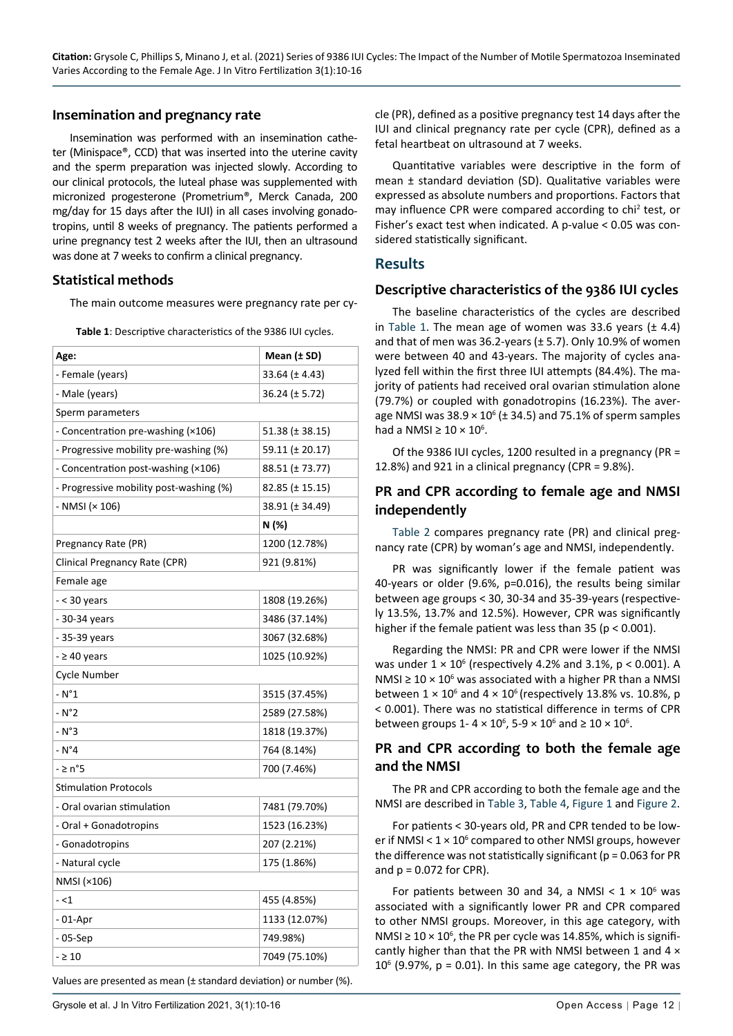#### **Insemination and pregnancy rate**

Insemination was performed with an insemination catheter (Minispace®, CCD) that was inserted into the uterine cavity and the sperm preparation was injected slowly. According to our clinical protocols, the luteal phase was supplemented with micronized progesterone (Prometrium®, Merck Canada, 200 mg/day for 15 days after the IUI) in all cases involving gonadotropins, until 8 weeks of pregnancy. The patients performed a urine pregnancy test 2 weeks after the IUI, then an ultrasound was done at 7 weeks to confirm a clinical pregnancy.

#### **Statistical methods**

The main outcome measures were pregnancy rate per cy-

<span id="page-2-0"></span>**Table 1**: Descriptive characteristics of the 9386 IUI cycles.

| Age:                                    | Mean $(\pm$ SD)    |  |  |  |
|-----------------------------------------|--------------------|--|--|--|
| - Female (years)                        | $33.64 (\pm 4.43)$ |  |  |  |
| - Male (years)                          | $36.24 (\pm 5.72)$ |  |  |  |
| Sperm parameters                        |                    |  |  |  |
| - Concentration pre-washing (×106)      | 51.38 (± 38.15)    |  |  |  |
| - Progressive mobility pre-washing (%)  | 59.11 (± 20.17)    |  |  |  |
| - Concentration post-washing (×106)     | 88.51 (± 73.77)    |  |  |  |
| - Progressive mobility post-washing (%) | 82.85 (± 15.15)    |  |  |  |
| - NMSI (× 106)                          | 38.91 (± 34.49)    |  |  |  |
|                                         | N (%)              |  |  |  |
| Pregnancy Rate (PR)                     | 1200 (12.78%)      |  |  |  |
| Clinical Pregnancy Rate (CPR)           | 921 (9.81%)        |  |  |  |
| Female age                              |                    |  |  |  |
| - < 30 years                            | 1808 (19.26%)      |  |  |  |
| - 30-34 years                           | 3486 (37.14%)      |  |  |  |
| - 35-39 years                           | 3067 (32.68%)      |  |  |  |
| $-$ 240 years                           | 1025 (10.92%)      |  |  |  |
| Cycle Number                            |                    |  |  |  |
| - N°1                                   | 3515 (37.45%)      |  |  |  |
| $- N^{\circ}2$                          | 2589 (27.58%)      |  |  |  |
| $- N^{\circ}3$                          | 1818 (19.37%)      |  |  |  |
| $- N^{\circ}4$                          | 764 (8.14%)        |  |  |  |
| - ≥ n°5                                 | 700 (7.46%)        |  |  |  |
| <b>Stimulation Protocols</b>            |                    |  |  |  |
| - Oral ovarian stimulation              | 7481 (79.70%)      |  |  |  |
| - Oral + Gonadotropins                  | 1523 (16.23%)      |  |  |  |
| - Gonadotropins                         | 207 (2.21%)        |  |  |  |
| - Natural cycle                         | 175 (1.86%)        |  |  |  |
| NMSI (×106)                             |                    |  |  |  |
| $-1$                                    | 455 (4.85%)        |  |  |  |
| - 01-Apr                                | 1133 (12.07%)      |  |  |  |
| - 05-Sep                                | 749.98%)           |  |  |  |
| $-210$                                  | 7049 (75.10%)      |  |  |  |

Values are presented as mean (± standard deviation) or number (%).

cle (PR), defined as a positive pregnancy test 14 days after the IUI and clinical pregnancy rate per cycle (CPR), defined as a fetal heartbeat on ultrasound at 7 weeks.

Quantitative variables were descriptive in the form of mean ± standard deviation (SD). Qualitative variables were expressed as absolute numbers and proportions. Factors that may influence CPR were compared according to chi<sup>2</sup> test, or Fisher's exact test when indicated. A p-value < 0.05 was considered statistically significant.

#### **Results**

#### **Descriptive characteristics of the 9386 IUI cycles**

The baseline characteristics of the cycles are described in [Table 1](#page-2-0). The mean age of women was 33.6 years  $(± 4.4)$ and that of men was 36.2-years  $(\pm 5.7)$ . Only 10.9% of women were between 40 and 43-years. The majority of cycles analyzed fell within the first three IUI attempts (84.4%). The majority of patients had received oral ovarian stimulation alone (79.7%) or coupled with gonadotropins (16.23%). The average NMSI was  $38.9 \times 10^6$  ( $\pm$  34.5) and 75.1% of sperm samples had a NMSI  $\geq 10 \times 10^6$ .

Of the 9386 IUI cycles, 1200 resulted in a pregnancy (PR = 12.8%) and 921 in a clinical pregnancy (CPR = 9.8%).

### **PR and CPR according to female age and NMSI independently**

[Table 2](#page-3-0) compares pregnancy rate (PR) and clinical pregnancy rate (CPR) by woman's age and NMSI, independently.

PR was significantly lower if the female patient was 40-years or older (9.6%, p=0.016), the results being similar between age groups < 30, 30-34 and 35-39-years (respectively 13.5%, 13.7% and 12.5%). However, CPR was significantly higher if the female patient was less than  $35$  ( $p < 0.001$ ).

Regarding the NMSI: PR and CPR were lower if the NMSI was under  $1 \times 10^6$  (respectively 4.2% and 3.1%, p < 0.001). A NMSI  $\geq 10 \times 10^6$  was associated with a higher PR than a NMSI between  $1 \times 10^6$  and  $4 \times 10^6$  (respectively 13.8% vs. 10.8%, p < 0.001). There was no statistical difference in terms of CPR between groups 1-4  $\times$  10<sup>6</sup>, 5-9  $\times$  10<sup>6</sup> and  $\geq$  10  $\times$  10<sup>6</sup>.

## **PR and CPR according to both the female age and the NMSI**

The PR and CPR according to both the female age and the NMSI are described in [Table 3](#page-3-1), [Table 4](#page-3-2), [Figure 1](#page-4-0) and [Figure 2](#page-4-1).

For patients < 30-years old, PR and CPR tended to be lower if NMSI <  $1 \times 10^6$  compared to other NMSI groups, however the difference was not statistically significant ( $p = 0.063$  for PR and  $p = 0.072$  for CPR).

For patients between 30 and 34, a NMSI  $<$  1  $\times$  10<sup>6</sup> was associated with a significantly lower PR and CPR compared to other NMSI groups. Moreover, in this age category, with NMSI  $\geq 10 \times 10^6$ , the PR per cycle was 14.85%, which is significantly higher than that the PR with NMSI between 1 and 4 ×  $10<sup>6</sup>$  (9.97%, p = 0.01). In this same age category, the PR was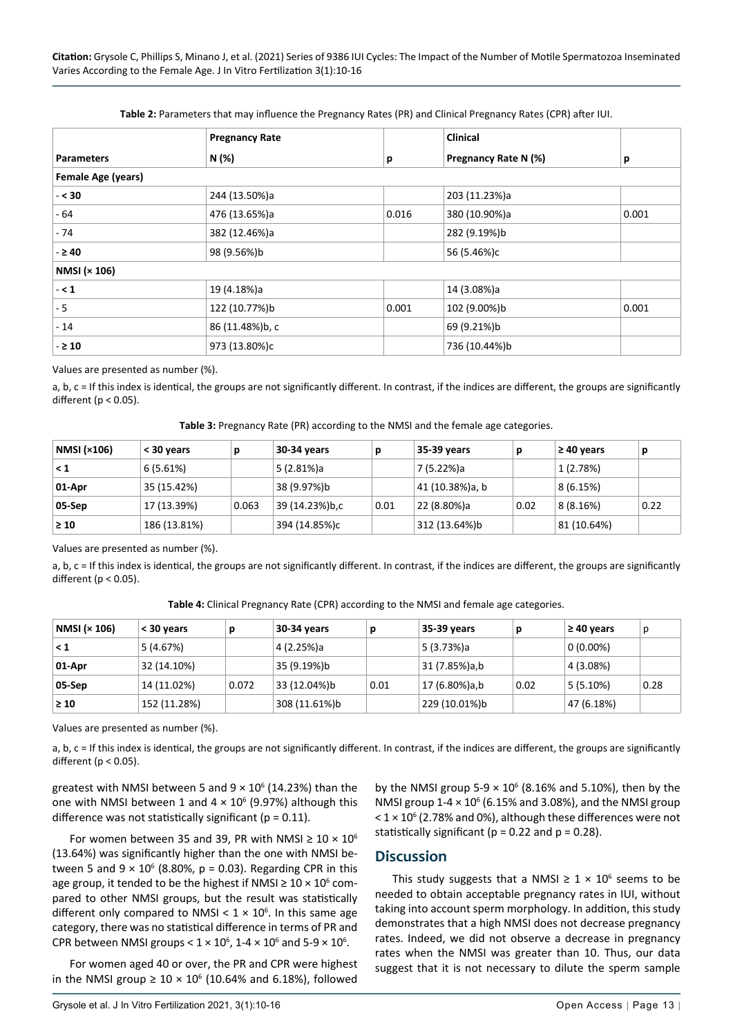<span id="page-3-0"></span>

|                           | <b>Pregnancy Rate</b> |       | <b>Clinical</b>      |       |  |  |  |
|---------------------------|-----------------------|-------|----------------------|-------|--|--|--|
| <b>Parameters</b>         | N (%)                 | р     | Pregnancy Rate N (%) | p     |  |  |  |
| <b>Female Age (years)</b> |                       |       |                      |       |  |  |  |
| $- < 30$                  | 244 (13.50%)a         |       | 203 (11.23%)a        |       |  |  |  |
| - 64                      | 476 (13.65%)a         | 0.016 | 380 (10.90%)a        | 0.001 |  |  |  |
| - 74                      | 382 (12.46%)a         |       | 282 (9.19%)b         |       |  |  |  |
| $-$ 240                   | 98 (9.56%)b           |       | 56 (5.46%)c          |       |  |  |  |
| NMSI (× 106)              |                       |       |                      |       |  |  |  |
| $- < 1$                   | 19 (4.18%)a           |       | 14 (3.08%)a          |       |  |  |  |
| - 5                       | 122 (10.77%)b         | 0.001 | 102 (9.00%)b         | 0.001 |  |  |  |
| $-14$                     | 86 (11.48%)b, c       |       | 69 (9.21%)b          |       |  |  |  |
| $ \geq$ 10                | 973 (13.80%)c         |       | 736 (10.44%)b        |       |  |  |  |

Values are presented as number (%).

a, b, c = If this index is identical, the groups are not significantly different. In contrast, if the indices are different, the groups are significantly different ( $p < 0.05$ ).

<span id="page-3-1"></span>

| Table 3: Pregnancy Rate (PR) according to the NMSI and the female age categories. |  |
|-----------------------------------------------------------------------------------|--|
|                                                                                   |  |

| <b>NMSI (×106)</b> | < 30 years   | n     | 30-34 years    |      | 35-39 years     |      | $\geq 40$ years | p    |
|--------------------|--------------|-------|----------------|------|-----------------|------|-----------------|------|
| < 1                | 6(5.61%)     |       | 5 (2.81%)a     |      | 7 (5.22%)a      |      | 1(2.78%)        |      |
| 01-Apr             | 35 (15.42%)  |       | 38 (9.97%)b    |      | 41 (10.38%)a, b |      | 8(6.15%)        |      |
| 05-Sep             | 17 (13.39%)  | 0.063 | 39 (14.23%)b,c | 0.01 | 22 (8.80%)a     | 0.02 | 8(8.16%)        | 0.22 |
| $\geq 10$          | 186 (13.81%) |       | 394 (14.85%)c  |      | 312 (13.64%)b   |      | 81 (10.64%)     |      |

Values are presented as number (%).

a, b, c = If this index is identical, the groups are not significantly different. In contrast, if the indices are different, the groups are significantly different ( $p < 0.05$ ).

<span id="page-3-2"></span>**Table 4:** Clinical Pregnancy Rate (CPR) according to the NMSI and female age categories.

| NMSI (× 106) | < 30 years   | n     | 30-34 years   | р    | 35-39 years   |      | $\geq 40$ years | p    |
|--------------|--------------|-------|---------------|------|---------------|------|-----------------|------|
| < 1          | 5 (4.67%)    |       | 4 (2.25%)a    |      | 5 (3.73%)a    |      | $0(0.00\%)$     |      |
| 01-Apr       | 32 (14.10%)  |       | 35 (9.19%)b   |      | 31 (7.85%)a,b |      | 4 (3.08%)       |      |
| 05-Sep       | 14 (11.02%)  | 0.072 | 33 (12.04%)b  | 0.01 | 17 (6.80%)a,b | 0.02 | $5(5.10\%)$     | 0.28 |
| $\geq 10$    | 152 (11.28%) |       | 308 (11.61%)b |      | 229 (10.01%)b |      | 47 (6.18%)      |      |

Values are presented as number (%).

a, b, c = If this index is identical, the groups are not significantly different. In contrast, if the indices are different, the groups are significantly different ( $p < 0.05$ ).

greatest with NMSI between 5 and  $9 \times 10^6$  (14.23%) than the one with NMSI between 1 and  $4 \times 10^6$  (9.97%) although this difference was not statistically significant ( $p = 0.11$ ).

For women between 35 and 39, PR with NMSI  $\geq 10 \times 10^6$ (13.64%) was significantly higher than the one with NMSI between 5 and  $9 \times 10^6$  (8.80%, p = 0.03). Regarding CPR in this age group, it tended to be the highest if NMSI  $\geq 10 \times 10^6$  compared to other NMSI groups, but the result was statistically different only compared to NMSI <  $1 \times 10^6$ . In this same age category, there was no statistical difference in terms of PR and CPR between NMSI groups <  $1 \times 10^6$ , 1-4  $\times 10^6$  and 5-9  $\times 10^6$ .

For women aged 40 or over, the PR and CPR were highest in the NMSI group  $\geq 10 \times 10^6$  (10.64% and 6.18%), followed

by the NMSI group  $5-9 \times 10^6$  (8.16% and 5.10%), then by the NMSI group  $1-4 \times 10^6$  (6.15% and 3.08%), and the NMSI group  $<$  1  $\times$  10<sup>6</sup> (2.78% and 0%), although these differences were not statistically significant ( $p = 0.22$  and  $p = 0.28$ ).

#### **Discussion**

This study suggests that a NMSI  $\geq 1 \times 10^6$  seems to be needed to obtain acceptable pregnancy rates in IUI, without taking into account sperm morphology. In addition, this study demonstrates that a high NMSI does not decrease pregnancy rates. Indeed, we did not observe a decrease in pregnancy rates when the NMSI was greater than 10. Thus, our data suggest that it is not necessary to dilute the sperm sample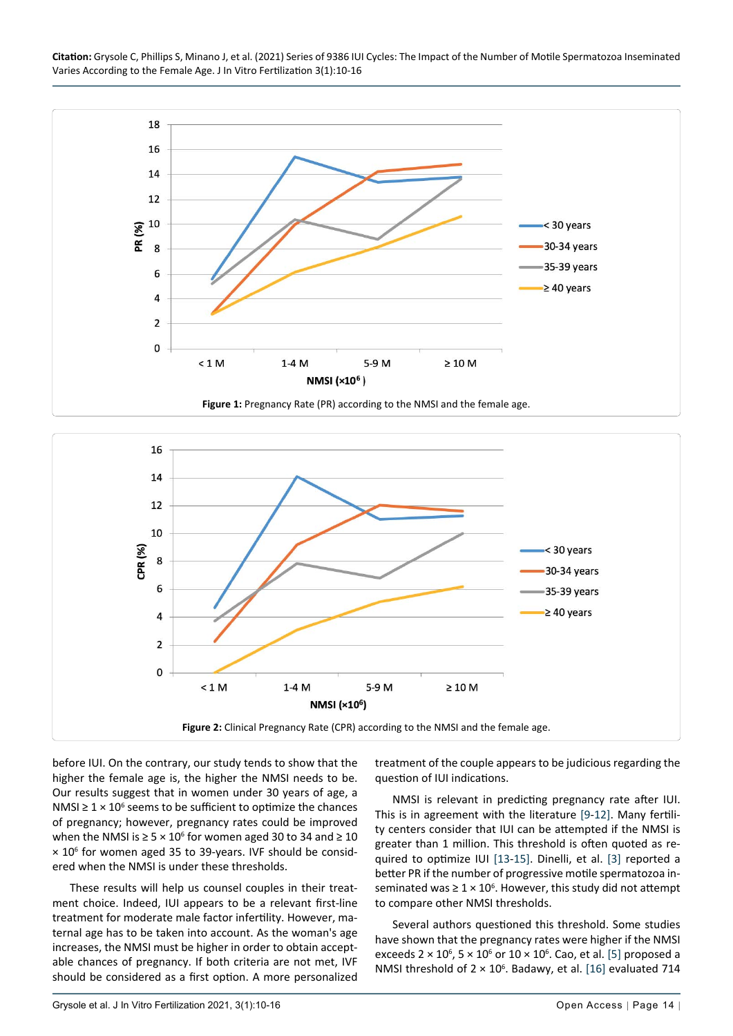

<span id="page-4-0"></span>

<span id="page-4-1"></span>

before IUI. On the contrary, our study tends to show that the higher the female age is, the higher the NMSI needs to be. Our results suggest that in women under 30 years of age, a NMSI  $\geq 1 \times 10^6$  seems to be sufficient to optimize the chances of pregnancy; however, pregnancy rates could be improved when the NMSI is  $\geq 5 \times 10^6$  for women aged 30 to 34 and  $\geq 10$ × 10<sup>6</sup> for women aged 35 to 39-years. IVF should be considered when the NMSI is under these thresholds.

These results will help us counsel couples in their treatment choice. Indeed, IUI appears to be a relevant first-line treatment for moderate male factor infertility. However, maternal age has to be taken into account. As the woman's age increases, the NMSI must be higher in order to obtain acceptable chances of pregnancy. If both criteria are not met, IVF should be considered as a first option. A more personalized treatment of the couple appears to be judicious regarding the question of IUI indications.

NMSI is relevant in predicting pregnancy rate after IUI. This is in agreement with the literature [[9](#page-6-6)-[12\]](#page-6-7). Many fertility centers consider that IUI can be attempted if the NMSI is greater than 1 million. This threshold is often quoted as required to optimize IUI [\[13](#page-6-8)-[15](#page-6-9)]. Dinelli, et al. [[3\]](#page-6-1) reported a better PR if the number of progressive motile spermatozoa inseminated was  $\geq 1 \times 10^6$ . However, this study did not attempt to compare other NMSI thresholds.

Several authors questioned this threshold. Some studies have shown that the pregnancy rates were higher if the NMSI exceeds  $2 \times 10^6$ ,  $5 \times 10^6$  or  $10 \times 10^6$ . Cao, et al. [[5\]](#page-6-3) proposed a NMSI threshold of  $2 \times 10^6$ . Badawy, et al. [[16](#page-6-10)] evaluated 714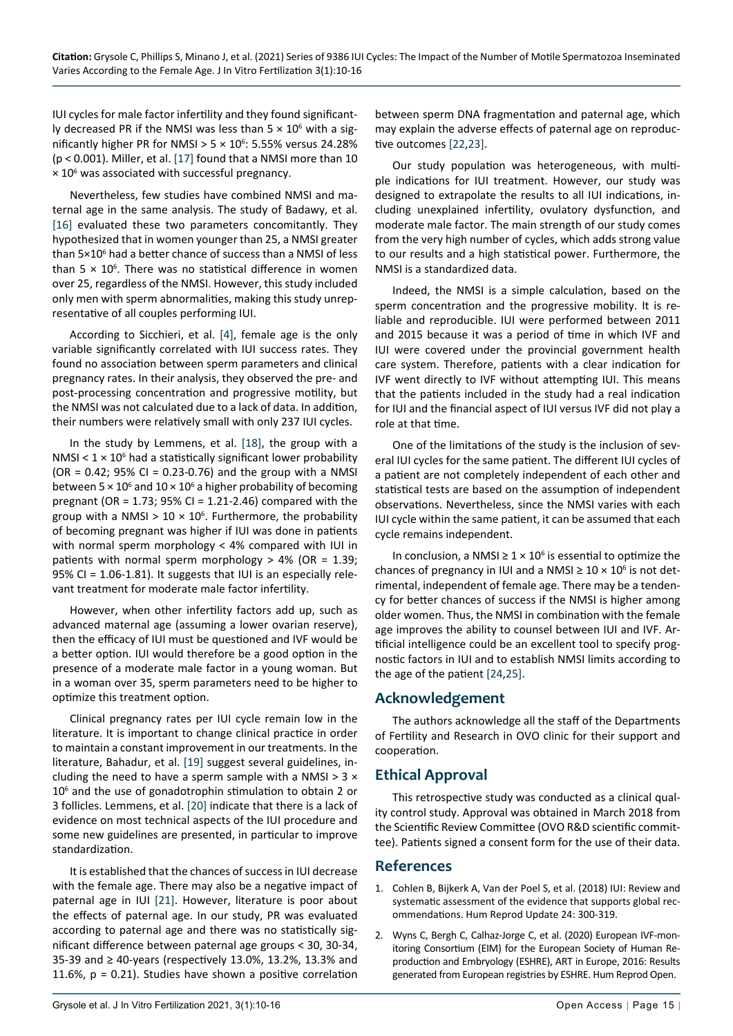IUI cycles for male factor infertility and they found significantly decreased PR if the NMSI was less than  $5 \times 10^6$  with a significantly higher PR for NMSI >  $5 \times 10^6$ : 5.55% versus 24.28% (p < 0.001). Miller, et al. [\[17](#page-6-15)] found that a NMSI more than 10  $\times$  10<sup>6</sup> was associated with successful pregnancy.

Nevertheless, few studies have combined NMSI and maternal age in the same analysis. The study of Badawy, et al. [[16\]](#page-6-10) evaluated these two parameters concomitantly. They hypothesized that in women younger than 25, a NMSI greater than 5×10<sup>6</sup> had a better chance of success than a NMSI of less than  $5 \times 10^6$ . There was no statistical difference in women over 25, regardless of the NMSI. However, this study included only men with sperm abnormalities, making this study unrepresentative of all couples performing IUI.

According to Sicchieri, et al. [[4\]](#page-6-2), female age is the only variable significantly correlated with IUI success rates. They found no association between sperm parameters and clinical pregnancy rates. In their analysis, they observed the pre- and post-processing concentration and progressive motility, but the NMSI was not calculated due to a lack of data. In addition, their numbers were relatively small with only 237 IUI cycles.

In the study by Lemmens, et al. [\[18](#page-6-16)], the group with a NMSI <  $1 \times 10^6$  had a statistically significant lower probability  $(OR = 0.42; 95\% CI = 0.23-0.76)$  and the group with a NMSI between 5  $\times$  10<sup>6</sup> and 10  $\times$  10<sup>6</sup> a higher probability of becoming pregnant (OR = 1.73; 95% CI = 1.21-2.46) compared with the group with a NMSI  $> 10 \times 10^6$ . Furthermore, the probability of becoming pregnant was higher if IUI was done in patients with normal sperm morphology < 4% compared with IUI in patients with normal sperm morphology  $> 4\%$  (OR = 1.39; 95% CI = 1.06-1.81). It suggests that IUI is an especially relevant treatment for moderate male factor infertility.

However, when other infertility factors add up, such as advanced maternal age (assuming a lower ovarian reserve), then the efficacy of IUI must be questioned and IVF would be a better option. IUI would therefore be a good option in the presence of a moderate male factor in a young woman. But in a woman over 35, sperm parameters need to be higher to optimize this treatment option.

Clinical pregnancy rates per IUI cycle remain low in the literature. It is important to change clinical practice in order to maintain a constant improvement in our treatments. In the literature, Bahadur, et al. [\[19](#page-6-17)] suggest several guidelines, including the need to have a sperm sample with a NMSI  $>$  3  $\times$ 106 and the use of gonadotrophin stimulation to obtain 2 or 3 follicles. Lemmens, et al. [[20](#page-6-18)] indicate that there is a lack of evidence on most technical aspects of the IUI procedure and some new guidelines are presented, in particular to improve standardization.

It is established that the chances of success in IUI decrease with the female age. There may also be a negative impact of paternal age in IUI [[21\]](#page-6-19). However, literature is poor about the effects of paternal age. In our study, PR was evaluated according to paternal age and there was no statistically significant difference between paternal age groups < 30, 30-34, 35-39 and ≥ 40-years (respectively 13.0%, 13.2%, 13.3% and 11.6%, p = 0.21). Studies have shown a positive correlation

between sperm DNA fragmentation and paternal age, which may explain the adverse effects of paternal age on reproductive outcomes [[22,](#page-6-11)[23](#page-6-12)].

Our study population was heterogeneous, with multiple indications for IUI treatment. However, our study was designed to extrapolate the results to all IUI indications, including unexplained infertility, ovulatory dysfunction, and moderate male factor. The main strength of our study comes from the very high number of cycles, which adds strong value to our results and a high statistical power. Furthermore, the NMSI is a standardized data.

Indeed, the NMSI is a simple calculation, based on the sperm concentration and the progressive mobility. It is reliable and reproducible. IUI were performed between 2011 and 2015 because it was a period of time in which IVF and IUI were covered under the provincial government health care system. Therefore, patients with a clear indication for IVF went directly to IVF without attempting IUI. This means that the patients included in the study had a real indication for IUI and the financial aspect of IUI versus IVF did not play a role at that time.

One of the limitations of the study is the inclusion of several IUI cycles for the same patient. The different IUI cycles of a patient are not completely independent of each other and statistical tests are based on the assumption of independent observations. Nevertheless, since the NMSI varies with each IUI cycle within the same patient, it can be assumed that each cycle remains independent.

In conclusion, a NMSI  $\geq 1 \times 10^6$  is essential to optimize the chances of pregnancy in IUI and a NMSI  $\geq 10 \times 10^6$  is not detrimental, independent of female age. There may be a tendency for better chances of success if the NMSI is higher among older women. Thus, the NMSI in combination with the female age improves the ability to counsel between IUI and IVF. Artificial intelligence could be an excellent tool to specify prognostic factors in IUI and to establish NMSI limits according to the age of the patient [\[24](#page-6-13),[25](#page-6-14)].

## **Acknowledgement**

The authors acknowledge all the staff of the Departments of Fertility and Research in OVO clinic for their support and cooperation.

## **Ethical Approval**

This retrospective study was conducted as a clinical quality control study. Approval was obtained in March 2018 from the Scientific Review Committee (OVO R&D scientific committee). Patients signed a consent form for the use of their data.

#### **References**

- <span id="page-5-0"></span>1. [Cohlen B, Bijkerk A, Van der Poel S, et al. \(2018\) IUI: Review and](https://pubmed.ncbi.nlm.nih.gov/29452361/)  [systematic assessment of the evidence that supports global rec](https://pubmed.ncbi.nlm.nih.gov/29452361/)[ommendations. Hum Reprod Update 24: 300-319.](https://pubmed.ncbi.nlm.nih.gov/29452361/)
- <span id="page-5-1"></span>2. Wyns C, Bergh C, Calhaz-Jorge C, et al. (2020) European IVF-monitoring Consortium (EIM) for the European Society of Human Reproduction and Embryology (ESHRE), ART in Europe, 2016: Results generated from European registries by ESHRE. Hum Reprod Open.